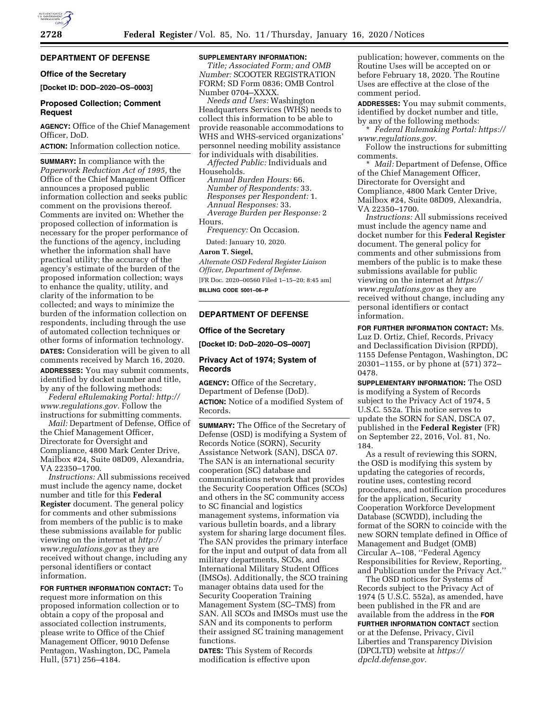### **DEPARTMENT OF DEFENSE**

#### **Office of the Secretary**

**[Docket ID: DOD–2020–OS–0003]** 

#### **Proposed Collection; Comment Request**

**AGENCY:** Office of the Chief Management Officer, DoD.

**ACTION:** Information collection notice.

**SUMMARY:** In compliance with the *Paperwork Reduction Act of 1995,* the Office of the Chief Management Officer announces a proposed public information collection and seeks public comment on the provisions thereof. Comments are invited on: Whether the proposed collection of information is necessary for the proper performance of the functions of the agency, including whether the information shall have practical utility; the accuracy of the agency's estimate of the burden of the proposed information collection; ways to enhance the quality, utility, and clarity of the information to be collected; and ways to minimize the burden of the information collection on respondents, including through the use of automated collection techniques or other forms of information technology.

**DATES:** Consideration will be given to all comments received by March 16, 2020. **ADDRESSES:** You may submit comments, identified by docket number and title, by any of the following methods:

*Federal eRulemaking Portal: [http://](http://www.regulations.gov) [www.regulations.gov.](http://www.regulations.gov)* Follow the instructions for submitting comments.

*Mail:* Department of Defense, Office of the Chief Management Officer, Directorate for Oversight and Compliance, 4800 Mark Center Drive, Mailbox #24, Suite 08D09, Alexandria, VA 22350–1700.

*Instructions:* All submissions received must include the agency name, docket number and title for this **Federal Register** document. The general policy for comments and other submissions from members of the public is to make these submissions available for public viewing on the internet at *[http://](http://www.regulations.gov) [www.regulations.gov](http://www.regulations.gov)* as they are received without change, including any personal identifiers or contact information.

**FOR FURTHER INFORMATION CONTACT:** To request more information on this proposed information collection or to obtain a copy of the proposal and associated collection instruments, please write to Office of the Chief Management Officer, 9010 Defense Pentagon, Washington, DC, Pamela Hull, (571) 256–4184.

#### **SUPPLEMENTARY INFORMATION:**

*Title; Associated Form; and OMB Number:* SCOOTER REGISTRATION FORM; SD Form 0836; OMB Control Number 0704–XXXX.

*Needs and Uses:* Washington Headquarters Services (WHS) needs to collect this information to be able to provide reasonable accommodations to WHS and WHS-serviced organizations' personnel needing mobility assistance for individuals with disabilities.

*Affected Public:* Individuals and Households.

*Annual Burden Hours:* 66. *Number of Respondents:* 33. *Responses per Respondent:* 1. *Annual Responses:* 33. *Average Burden per Response:* 2

Hours.

*Frequency:* On Occasion.

Dated: January 10, 2020.

#### **Aaron T. Siegel,**

*Alternate OSD Federal Register Liaison Officer, Department of Defense.*  [FR Doc. 2020–00560 Filed 1–15–20; 8:45 am]

**BILLING CODE 5001–06–P** 

#### **DEPARTMENT OF DEFENSE**

#### **Office of the Secretary**

**[Docket ID: DoD–2020–OS–0007]** 

#### **Privacy Act of 1974; System of Records**

**AGENCY:** Office of the Secretary, Department of Defense (DoD). **ACTION:** Notice of a modified System of Records.

**SUMMARY:** The Office of the Secretary of Defense (OSD) is modifying a System of Records Notice (SORN), Security Assistance Network (SAN), DSCA 07. The SAN is an international security cooperation (SC) database and communications network that provides the Security Cooperation Offices (SCOs) and others in the SC community access to SC financial and logistics management systems, information via various bulletin boards, and a library system for sharing large document files. The SAN provides the primary interface for the input and output of data from all military departments, SCOs, and International Military Student Offices (IMSOs). Additionally, the SCO training manager obtains data used for the Security Cooperation Training Management System (SC–TMS) from SAN. All SCOs and IMSOs must use the SAN and its components to perform their assigned SC training management functions.

**DATES:** This System of Records modification is effective upon

publication; however, comments on the Routine Uses will be accepted on or before February 18, 2020. The Routine Uses are effective at the close of the comment period.

**ADDRESSES:** You may submit comments, identified by docket number and title, by any of the following methods:

\* *Federal Rulemaking Portal: [https://](https://www.regulations.gov) [www.regulations.gov.](https://www.regulations.gov)* 

Follow the instructions for submitting comments.

\* *Mail:* Department of Defense, Office of the Chief Management Officer, Directorate for Oversight and Compliance, 4800 Mark Center Drive, Mailbox #24, Suite 08D09, Alexandria, VA 22350–1700.

*Instructions:* All submissions received must include the agency name and docket number for this **Federal Register**  document. The general policy for comments and other submissions from members of the public is to make these submissions available for public viewing on the internet at *[https://](https://www.regulations.gov) [www.regulations.gov](https://www.regulations.gov)* as they are received without change, including any personal identifiers or contact information.

**FOR FURTHER INFORMATION CONTACT:** Ms. Luz D. Ortiz, Chief, Records, Privacy and Declassification Division (RPDD), 1155 Defense Pentagon, Washington, DC 20301–1155, or by phone at (571) 372– 0478.

**SUPPLEMENTARY INFORMATION:** The OSD is modifying a System of Records subject to the Privacy Act of 1974, 5 U.S.C. 552a. This notice serves to update the SORN for SAN, DSCA 07, published in the **Federal Register** (FR) on September 22, 2016, Vol. 81, No. 184.

As a result of reviewing this SORN, the OSD is modifying this system by updating the categories of records, routine uses, contesting record procedures, and notification procedures for the application, Security Cooperation Workforce Development Database (SCWDD), including the format of the SORN to coincide with the new SORN template defined in Office of Management and Budget (OMB) Circular A–108, ''Federal Agency Responsibilities for Review, Reporting, and Publication under the Privacy Act.''

The OSD notices for Systems of Records subject to the Privacy Act of 1974 (5 U.S.C. 552a), as amended, have been published in the FR and are available from the address in the **FOR FURTHER INFORMATION CONTACT** section or at the Defense, Privacy, Civil Liberties and Transparency Division (DPCLTD) website at *[https://](https://dpcld.defense.gov) [dpcld.defense.gov.](https://dpcld.defense.gov)*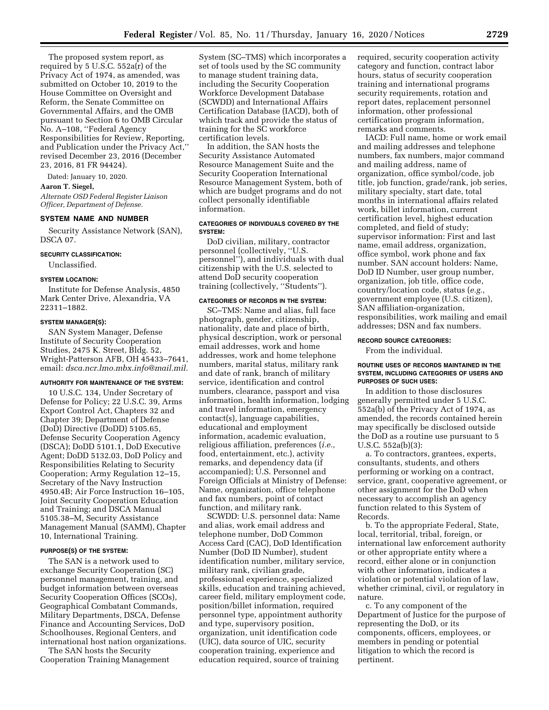The proposed system report, as required by 5 U.S.C. 552a(r) of the Privacy Act of 1974, as amended, was submitted on October 10, 2019 to the House Committee on Oversight and Reform, the Senate Committee on Governmental Affairs, and the OMB pursuant to Section 6 to OMB Circular No. A–108, ''Federal Agency Responsibilities for Review, Reporting, and Publication under the Privacy Act,'' revised December 23, 2016 (December 23, 2016, 81 FR 94424).

Dated: January 10, 2020.

## **Aaron T. Siegel,**

*Alternate OSD Federal Register Liaison Officer, Department of Defense.* 

#### **SYSTEM NAME AND NUMBER**

Security Assistance Network (SAN), DSCA 07.

#### **SECURITY CLASSIFICATION:**

Unclassified.

#### **SYSTEM LOCATION:**

Institute for Defense Analysis, 4850 Mark Center Drive, Alexandria, VA 22311–1882.

#### **SYSTEM MANAGER(S):**

SAN System Manager, Defense Institute of Security Cooperation Studies, 2475 K. Street, Bldg. 52, Wright-Patterson AFB, OH 45433–7641, email: *[dsca.ncr.lmo.mbx.info@mail.mil.](mailto:dsca.ncr.lmo.mbx.info@mail.mil)* 

#### **AUTHORITY FOR MAINTENANCE OF THE SYSTEM:**

10 U.S.C. 134, Under Secretary of Defense for Policy; 22 U.S.C. 39, Arms Export Control Act, Chapters 32 and Chapter 39; Department of Defense (DoD) Directive (DoDD) 5105.65, Defense Security Cooperation Agency (DSCA); DoDD 5101.1, DoD Executive Agent; DoDD 5132.03, DoD Policy and Responsibilities Relating to Security Cooperation; Army Regulation 12–15, Secretary of the Navy Instruction 4950.4B; Air Force Instruction 16–105, Joint Security Cooperation Education and Training; and DSCA Manual 5105.38–M, Security Assistance Management Manual (SAMM), Chapter 10, International Training.

#### **PURPOSE(S) OF THE SYSTEM:**

The SAN is a network used to exchange Security Cooperation (SC) personnel management, training, and budget information between overseas Security Cooperation Offices (SCOs), Geographical Combatant Commands, Military Departments, DSCA, Defense Finance and Accounting Services, DoD Schoolhouses, Regional Centers, and international host nation organizations.

The SAN hosts the Security Cooperation Training Management System (SC–TMS) which incorporates a set of tools used by the SC community to manage student training data, including the Security Cooperation Workforce Development Database (SCWDD) and International Affairs Certification Database (IACD), both of which track and provide the status of training for the SC workforce certification levels.

In addition, the SAN hosts the Security Assistance Automated Resource Management Suite and the Security Cooperation International Resource Management System, both of which are budget programs and do not collect personally identifiable information.

#### **CATEGORIES OF INDIVIDUALS COVERED BY THE SYSTEM:**

DoD civilian, military, contractor personnel (collectively, ''U.S. personnel''), and individuals with dual citizenship with the U.S. selected to attend DoD security cooperation training (collectively, ''Students'').

#### **CATEGORIES OF RECORDS IN THE SYSTEM:**

SC–TMS: Name and alias, full face photograph, gender, citizenship, nationality, date and place of birth, physical description, work or personal email addresses, work and home addresses, work and home telephone numbers, marital status, military rank and date of rank, branch of military service, identification and control numbers, clearance, passport and visa information, health information, lodging and travel information, emergency contact(s), language capabilities, educational and employment information, academic evaluation, religious affiliation, preferences (*i.e.,*  food, entertainment, etc.), activity remarks, and dependency data (if accompanied); U.S. Personnel and Foreign Officials at Ministry of Defense: Name, organization, office telephone and fax numbers, point of contact function, and military rank.

SCWDD: U.S. personnel data: Name and alias, work email address and telephone number, DoD Common Access Card (CAC), DoD Identification Number (DoD ID Number), student identification number, military service, military rank, civilian grade, professional experience, specialized skills, education and training achieved, career field, military employment code, position/billet information, required personnel type, appointment authority and type, supervisory position, organization, unit identification code (UIC), data source of UIC, security cooperation training, experience and education required, source of training

required, security cooperation activity category and function, contract labor hours, status of security cooperation training and international programs security requirements, rotation and report dates, replacement personnel information, other professional certification program information, remarks and comments.

IACD: Full name, home or work email and mailing addresses and telephone numbers, fax numbers, major command and mailing address, name of organization, office symbol/code, job title, job function, grade/rank, job series, military specialty, start date, total months in international affairs related work, billet information, current certification level, highest education completed, and field of study; supervisor information: First and last name, email address, organization, office symbol, work phone and fax number. SAN account holders: Name, DoD ID Number, user group number, organization, job title, office code, country/location code, status (*e.g.,*  government employee (U.S. citizen), SAN affiliation-organization, responsibilities, work mailing and email addresses; DSN and fax numbers.

#### **RECORD SOURCE CATEGORIES:**

From the individual.

#### **ROUTINE USES OF RECORDS MAINTAINED IN THE SYSTEM, INCLUDING CATEGORIES OF USERS AND PURPOSES OF SUCH USES:**

In addition to those disclosures generally permitted under 5 U.S.C. 552a(b) of the Privacy Act of 1974, as amended, the records contained herein may specifically be disclosed outside the DoD as a routine use pursuant to 5 U.S.C. 552a(b)(3):

a. To contractors, grantees, experts, consultants, students, and others performing or working on a contract, service, grant, cooperative agreement, or other assignment for the DoD when necessary to accomplish an agency function related to this System of Records.

b. To the appropriate Federal, State, local, territorial, tribal, foreign, or international law enforcement authority or other appropriate entity where a record, either alone or in conjunction with other information, indicates a violation or potential violation of law, whether criminal, civil, or regulatory in nature.

c. To any component of the Department of Justice for the purpose of representing the DoD, or its components, officers, employees, or members in pending or potential litigation to which the record is pertinent.